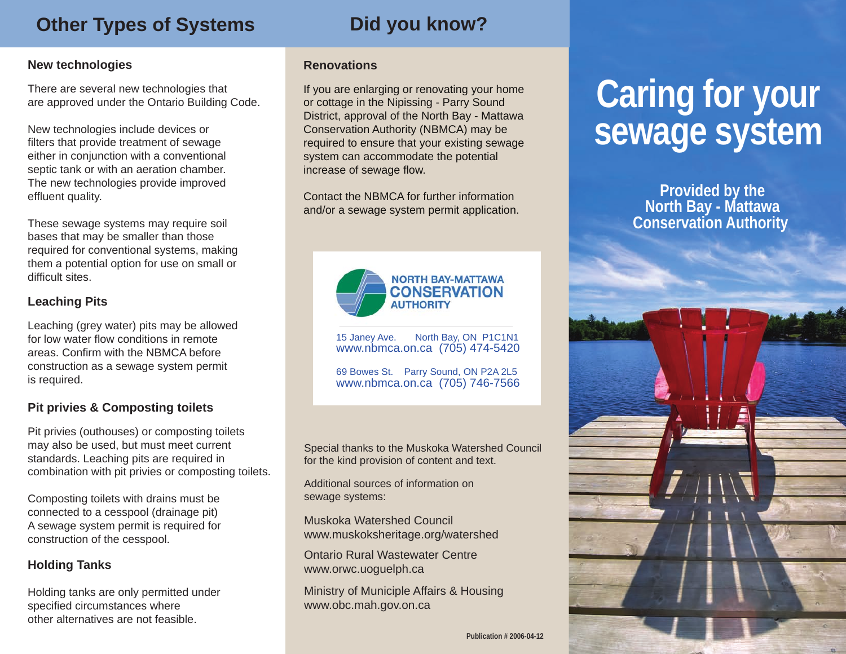# **Other Types of Systems**

# **Did you know?**

### **New technologies**

There are several new technologies that are approved under the Ontario Building Code.

New technologies include devices or filters that provide treatment of sewage either in conjunction with a conventional septic tank or with an aeration chamber. The new technologies provide improved effluent quality.

These sewage systems may require soil bases that may be smaller than those required for conventional systems, making them a potential option for use on small or difficult sites.

# **Leaching Pits**

Leaching (grey water) pits may be allowed for low water flow conditions in remote areas. Confirm with the NBMCA before construction as a sewage system permit is required.

# **Pit privies & Composting toilets**

Pit privies (outhouses) or composting toilets may also be used, but must meet current standards. Leaching pits are required in combination with pit privies or composting toilets.

Composting toilets with drains must be connected to a cesspool (drainage pit) A sewage system permit is required for construction of the cesspool.

## **Holding Tanks**

Holding tanks are only permitted under specified circumstances where other alternatives are not feasible.

#### **Renovations**

If you are enlarging or renovating your home or cottage in the Nipissing - Parry Sound District, approval of the North Bay - Mattawa Conservation Authority (NBMCA) may be required to ensure that your existing sewage system can accommodate the potential increase of sewage flow.

Contact the NBMCA for further information and/or a sewage system permit application.



15 Janey Ave. North Bay, ON P1C1N1 www.nbmca.on.ca (705) 474-5420

69 Bowes St. Parry Sound, ON P2A 2L5 www.nbmca.on.ca (705) 746-7566

Special thanks to the Muskoka Watershed Council for the kind provision of content and text.

Additional sources of information on sewage systems:

Muskoka Watershed Council www.muskoksheritage.org/watershed

Ontario Rural Wastewater Centre www.orwc.uoguelph.ca

Ministry of Municiple Affairs & Housing www.obc.mah.gov.on.ca

# **Caring for your sewage system**

**Provided by the North Bay - Mattawa Conservation Authority**